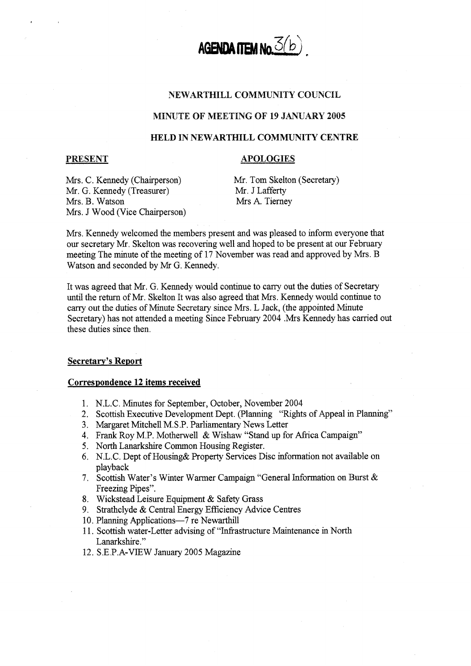

# NEWARTHILL COMMUNITY COUNCIL

### **IMINUTE OF MEETING OF 19 JANUARY 2005**

## **HELD IN NEWARTMILL COMMUNITY CENTRE**

### **PRESENT**

## **APOLOGIES**

Mrs. C. Kennedy (Chairperson) Mr. G. Kennedy (Treasurer) Mrs. B. Watson Mrs. J Wood (Vice Chairperson) Mr. Tom Skelton (Secretary) Mr. JLafferty Mrs A. Tierney

Mrs. Kennedy welcomed the members present and was pleased to inform everyone that our secretary Mr. Skelton was recovering well and hoped to be present at our February meeting The minute of the meeting of 17 November was read and approved by Mrs. B Watson and seconded by Mr G. Kennedy.

It was agreed that Mr. G. Kennedy would continue to carry out the duties of Secretary until the return of Mr. Skelton It was also agreed that Mrs. Kennedy would continue to carry out the duties of Minute Secretary since Mrs. L Jack, (the appointed Minute Secretary) has not attended a meeting Since February 2004 .Mrs Kennedy has carried out these duties since then.

# **Secretary's Report**

#### **Correspondence 12 items received**

- 1. N.L.C. Minutes for September, October, November 2004
- 2. Scottish Executive Development Dept. (Planning "Rights of Appeal in Planning"
- 3. Margaret Mitchell M.S .P. Parliamentary News Letter
- 4. Frank Roy M.P. Motherwell & Wishaw "Stand up for Afnca Campaign"
- *5.*  North Lanarkshire Common Housing Register.
- 6. N.L.C. Dept of Housing& Property Services Disc information not available on playback
- **7.**  Scottish Water's Winter Warmer Campaign "General Information on Burst & Freezing Pipes".
- **8.**  Wickstead Leisure Equipment & Safety Grass
- *9.*  Strathclyde & Central Energy Efficiency Advice Centres
- 10. Planning Applications-7 re Newarthill
- 11. Scottish water-Letter advising of "lnfiastructure Maintenance in North Lanarkshire."
- 12, S.E.P.A-VIEW January 2005 Magazine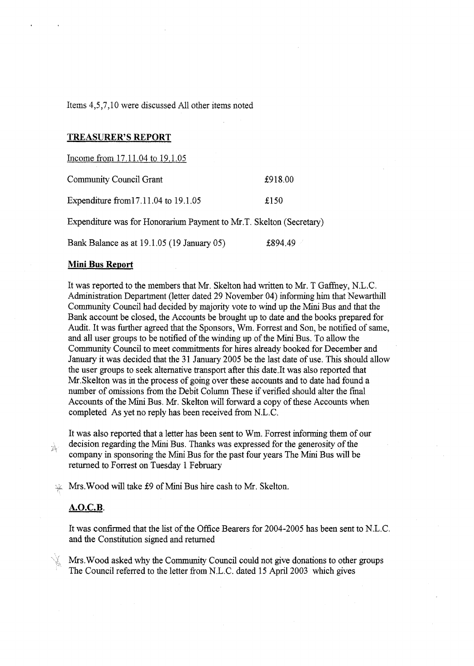Items 4,5,7,10 were discussed All other items noted

### **TREASURER'S REPORT**

Income from 17.11.04 to 19.1.05

| Community Council Grant              | £918.00 |
|--------------------------------------|---------|
| Expenditure from 17.11.04 to 19.1.05 | £150    |

Expenditure was for Honorarium Payment to Mr.T. Skelton (Secretary)

Bank Balance as at 19.1.05 (19 January 05) **2894.49** 

### **Mini Bus ReDort**

It was reported to the members that Mr. Skelton had written to Mr. T Gaffney, N.L.C. Administration Department (letter dated 29 November 04) informing him that Newarthill Community Council had decided by majority vote to wind up the Mini Bus and that the Bank account be closed, the Accounts be brought up to date and the books prepared for Audit. It was further agreed that the Sponsors, Wm. Forrest and Son, be notified of same, and all user groups to be notified of the winding up of the Mini Bus. To allow the Community Council to meet commitments for hires already booked for December and January it was decided that the 31 January 2005 be the last date of use. This should allow the user groups to seek alternative transport after this date.It was also reported that Mr.Skelton was **in** the process of going over these accounts and to date had found a number of omissions from the Debit Column These if verified should alter the final Accounts of the Mini Bus. Mr. Skelton will forward a copy of these Accounts when completed As yet no reply has been received from N.L.C.

It was also reported that a letter has been sent to Wm. Forrest mforming them of our decision regarding the Mini Bus. Thanks was expressed for the generosity of the company in sponsoring the Mini Bus for the past four years The Mini Bus will be returned to Forrest on Tuesday 1 February

*-2* Mrs.Wood wdl take \$9 of Mini Bus hire cash to Mr. Skelton.

### **A.O.C.B.**

À

It was confirmed that the list of the Office Bearers for 2004-2005 has been sent to N.L.C. and the Constitution signed and returned

Mrs. Wood asked why the Community Council could not give donations to other groups The Council referred to the letter from N.L.C. dated 15 April 2003 which gives